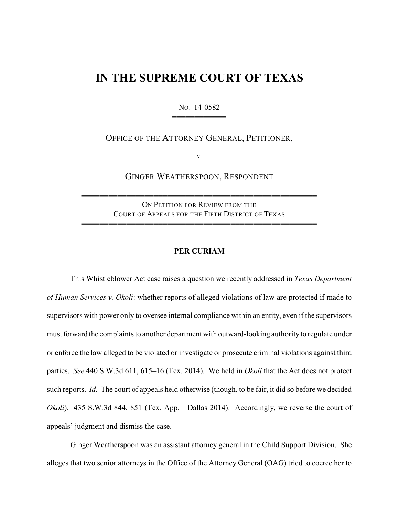## **IN THE SUPREME COURT OF TEXAS**

444444444444 NO. 14-0582 444444444444

OFFICE OF THE ATTORNEY GENERAL, PETITIONER,

v.

GINGER WEATHERSPOON, RESPONDENT

ON PETITION FOR REVIEW FROM THE COURT OF APPEALS FOR THE FIFTH DISTRICT OF TEXAS

4444444444444444444444444444444444444444444444444444

4444444444444444444444444444444444444444444444444444

## **PER CURIAM**

This Whistleblower Act case raises a question we recently addressed in *Texas Department of Human Services v. Okoli*: whether reports of alleged violations of law are protected if made to supervisors with power only to oversee internal compliance within an entity, even if the supervisors must forward the complaints to another department with outward-looking authorityto regulate under or enforce the law alleged to be violated or investigate or prosecute criminal violations against third parties. *See* 440 S.W.3d 611, 615–16 (Tex. 2014). We held in *Okoli* that the Act does not protect such reports. *Id.* The court of appeals held otherwise (though, to be fair, it did so before we decided *Okoli*). 435 S.W.3d 844, 851 (Tex. App.—Dallas 2014). Accordingly, we reverse the court of appeals' judgment and dismiss the case.

Ginger Weatherspoon was an assistant attorney general in the Child Support Division. She alleges that two senior attorneys in the Office of the Attorney General (OAG) tried to coerce her to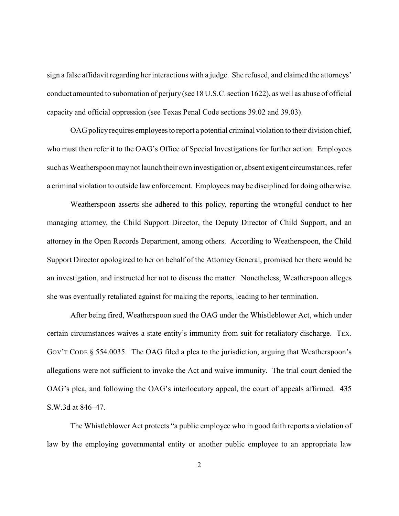sign a false affidavit regarding her interactions with a judge. She refused, and claimed the attorneys' conduct amounted to subornation of perjury (see 18 U.S.C. section 1622), as well as abuse of official capacity and official oppression (see Texas Penal Code sections 39.02 and 39.03).

OAG policy requires employees to report a potential criminal violation to their division chief, who must then refer it to the OAG's Office of Special Investigations for further action. Employees such as Weatherspoon may not launch their own investigation or, absent exigent circumstances, refer a criminal violation to outside law enforcement. Employees may be disciplined for doing otherwise.

Weatherspoon asserts she adhered to this policy, reporting the wrongful conduct to her managing attorney, the Child Support Director, the Deputy Director of Child Support, and an attorney in the Open Records Department, among others. According to Weatherspoon, the Child Support Director apologized to her on behalf of the Attorney General, promised her there would be an investigation, and instructed her not to discuss the matter. Nonetheless, Weatherspoon alleges she was eventually retaliated against for making the reports, leading to her termination.

After being fired, Weatherspoon sued the OAG under the Whistleblower Act, which under certain circumstances waives a state entity's immunity from suit for retaliatory discharge. TEX. GOV'T CODE § 554.0035. The OAG filed a plea to the jurisdiction, arguing that Weatherspoon's allegations were not sufficient to invoke the Act and waive immunity. The trial court denied the OAG's plea, and following the OAG's interlocutory appeal, the court of appeals affirmed. 435 S.W.3d at 846–47.

The Whistleblower Act protects "a public employee who in good faith reports a violation of law by the employing governmental entity or another public employee to an appropriate law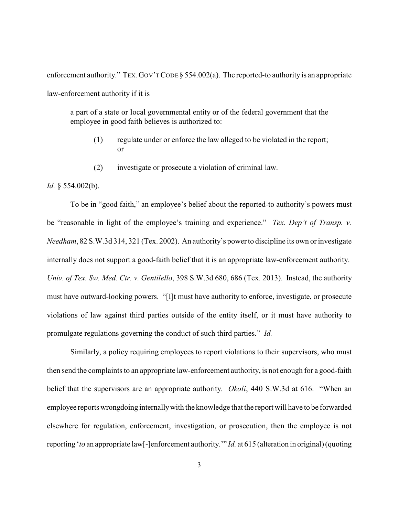enforcement authority." TEX. GOV'T CODE § 554.002(a). The reported-to authority is an appropriate law-enforcement authority if it is

a part of a state or local governmental entity or of the federal government that the employee in good faith believes is authorized to:

- (1) regulate under or enforce the law alleged to be violated in the report; or
- (2) investigate or prosecute a violation of criminal law.

*Id.* § 554.002(b).

To be in "good faith," an employee's belief about the reported-to authority's powers must be "reasonable in light of the employee's training and experience." *Tex. Dep't of Transp. v. Needham*, 82 S.W.3d 314, 321 (Tex. 2002). An authority's powerto discipline its own or investigate internally does not support a good-faith belief that it is an appropriate law-enforcement authority. *Univ. of Tex. Sw. Med. Ctr. v. Gentilello*, 398 S.W.3d 680, 686 (Tex. 2013). Instead, the authority must have outward-looking powers. "[I]t must have authority to enforce, investigate, or prosecute violations of law against third parties outside of the entity itself, or it must have authority to promulgate regulations governing the conduct of such third parties." *Id.*

Similarly, a policy requiring employees to report violations to their supervisors, who must then send the complaints to an appropriate law-enforcement authority, is not enough for a good-faith belief that the supervisors are an appropriate authority. *Okoli*, 440 S.W.3d at 616. "When an employee reports wrongdoing internallywith the knowledge that the report will have to be forwarded elsewhere for regulation, enforcement, investigation, or prosecution, then the employee is not reporting '*to* an appropriate law[-]enforcement authority.'" *Id.* at 615 (alteration in original) (quoting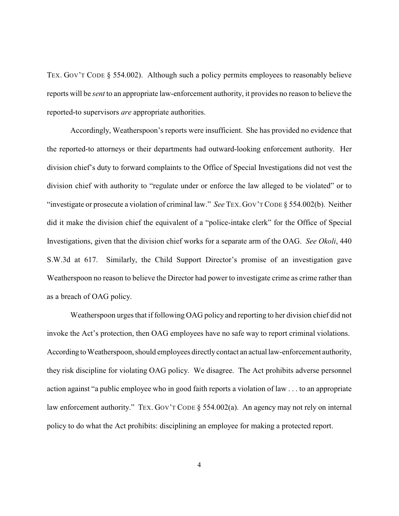TEX. GOV'T CODE § 554.002). Although such a policy permits employees to reasonably believe reports will be *sent* to an appropriate law-enforcement authority, it provides no reason to believe the reported-to supervisors *are* appropriate authorities.

Accordingly, Weatherspoon's reports were insufficient. She has provided no evidence that the reported-to attorneys or their departments had outward-looking enforcement authority. Her division chief's duty to forward complaints to the Office of Special Investigations did not vest the division chief with authority to "regulate under or enforce the law alleged to be violated" or to "investigate or prosecute a violation of criminal law." *See* TEX.GOV'T CODE § 554.002(b). Neither did it make the division chief the equivalent of a "police-intake clerk" for the Office of Special Investigations, given that the division chief works for a separate arm of the OAG. *See Okoli*, 440 S.W.3d at 617. Similarly, the Child Support Director's promise of an investigation gave Weatherspoon no reason to believe the Director had power to investigate crime as crime rather than as a breach of OAG policy.

Weatherspoon urges that if following OAG policy and reporting to her division chief did not invoke the Act's protection, then OAG employees have no safe way to report criminal violations. According to Weatherspoon, should employees directly contact an actual law-enforcement authority, they risk discipline for violating OAG policy. We disagree. The Act prohibits adverse personnel action against "a public employee who in good faith reports a violation of law . . . to an appropriate law enforcement authority." TEX. GOV'T CODE § 554.002(a). An agency may not rely on internal policy to do what the Act prohibits: disciplining an employee for making a protected report.